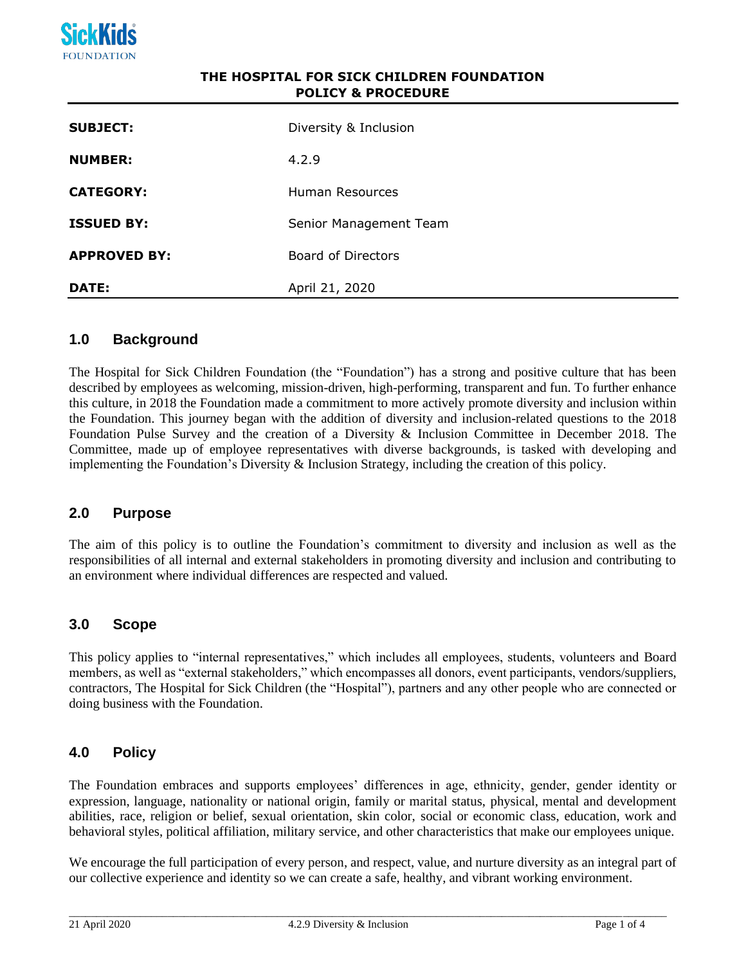

# **THE HOSPITAL FOR SICK CHILDREN FOUNDATION POLICY & PROCEDURE**

| <b>SUBJECT:</b>     | Diversity & Inclusion  |
|---------------------|------------------------|
| <b>NUMBER:</b>      | 4.2.9                  |
| <b>CATEGORY:</b>    | Human Resources        |
| <b>ISSUED BY:</b>   | Senior Management Team |
| <b>APPROVED BY:</b> | Board of Directors     |
| <b>DATE:</b>        | April 21, 2020         |

## **1.0 Background**

The Hospital for Sick Children Foundation (the "Foundation") has a strong and positive culture that has been described by employees as welcoming, mission-driven, high-performing, transparent and fun. To further enhance this culture, in 2018 the Foundation made a commitment to more actively promote diversity and inclusion within the Foundation. This journey began with the addition of diversity and inclusion-related questions to the 2018 Foundation Pulse Survey and the creation of a Diversity & Inclusion Committee in December 2018. The Committee, made up of employee representatives with diverse backgrounds, is tasked with developing and implementing the Foundation's Diversity & Inclusion Strategy, including the creation of this policy.

## **2.0 Purpose**

The aim of this policy is to outline the Foundation's commitment to diversity and inclusion as well as the responsibilities of all internal and external stakeholders in promoting diversity and inclusion and contributing to an environment where individual differences are respected and valued.

## **3.0 Scope**

This policy applies to "internal representatives," which includes all employees, students, volunteers and Board members, as well as "external stakeholders," which encompasses all donors, event participants, vendors/suppliers, contractors, The Hospital for Sick Children (the "Hospital"), partners and any other people who are connected or doing business with the Foundation.

## **4.0 Policy**

The Foundation embraces and supports employees' differences in age, ethnicity, gender, gender identity or expression, language, nationality or national origin, family or marital status, physical, mental and development abilities, race, religion or belief, sexual orientation, skin color, social or economic class, education, work and behavioral styles, political affiliation, military service, and other characteristics that make our employees unique.

We encourage the full participation of every person, and respect, value, and nurture diversity as an integral part of our collective experience and identity so we can create a safe, healthy, and vibrant working environment.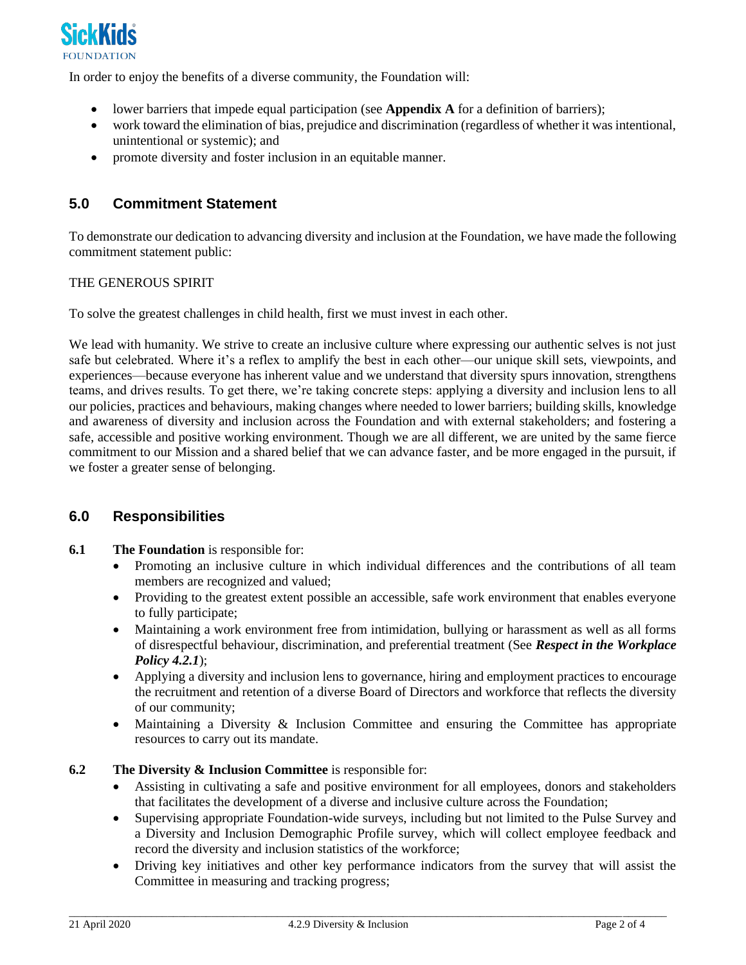

In order to enjoy the benefits of a diverse community, the Foundation will:

- lower barriers that impede equal participation (see **Appendix A** for a definition of barriers);
- work toward the elimination of bias, prejudice and discrimination (regardless of whether it was intentional, unintentional or systemic); and
- promote diversity and foster inclusion in an equitable manner.

# **5.0 Commitment Statement**

To demonstrate our dedication to advancing diversity and inclusion at the Foundation, we have made the following commitment statement public:

## THE GENEROUS SPIRIT

To solve the greatest challenges in child health, first we must invest in each other.

We lead with humanity. We strive to create an inclusive culture where expressing our authentic selves is not just safe but celebrated. Where it's a reflex to amplify the best in each other—our unique skill sets, viewpoints, and experiences—because everyone has inherent value and we understand that diversity spurs innovation, strengthens teams, and drives results. To get there, we're taking concrete steps: applying a diversity and inclusion lens to all our policies, practices and behaviours, making changes where needed to lower barriers; building skills, knowledge and awareness of diversity and inclusion across the Foundation and with external stakeholders; and fostering a safe, accessible and positive working environment. Though we are all different, we are united by the same fierce commitment to our Mission and a shared belief that we can advance faster, and be more engaged in the pursuit, if we foster a greater sense of belonging.

# **6.0 Responsibilities**

## **6.1 The Foundation** is responsible for:

- Promoting an inclusive culture in which individual differences and the contributions of all team members are recognized and valued;
- Providing to the greatest extent possible an accessible, safe work environment that enables everyone to fully participate;
- Maintaining a work environment free from intimidation, bullying or harassment as well as all forms of disrespectful behaviour, discrimination, and preferential treatment (See *Respect in the Workplace Policy 4.2.1*);
- Applying a diversity and inclusion lens to governance, hiring and employment practices to encourage the recruitment and retention of a diverse Board of Directors and workforce that reflects the diversity of our community;
- Maintaining a Diversity & Inclusion Committee and ensuring the Committee has appropriate resources to carry out its mandate.

#### **6.2 The Diversity & Inclusion Committee** is responsible for:

- Assisting in cultivating a safe and positive environment for all employees, donors and stakeholders that facilitates the development of a diverse and inclusive culture across the Foundation;
- Supervising appropriate Foundation-wide surveys, including but not limited to the Pulse Survey and a Diversity and Inclusion Demographic Profile survey, which will collect employee feedback and record the diversity and inclusion statistics of the workforce;
- Driving key initiatives and other key performance indicators from the survey that will assist the Committee in measuring and tracking progress;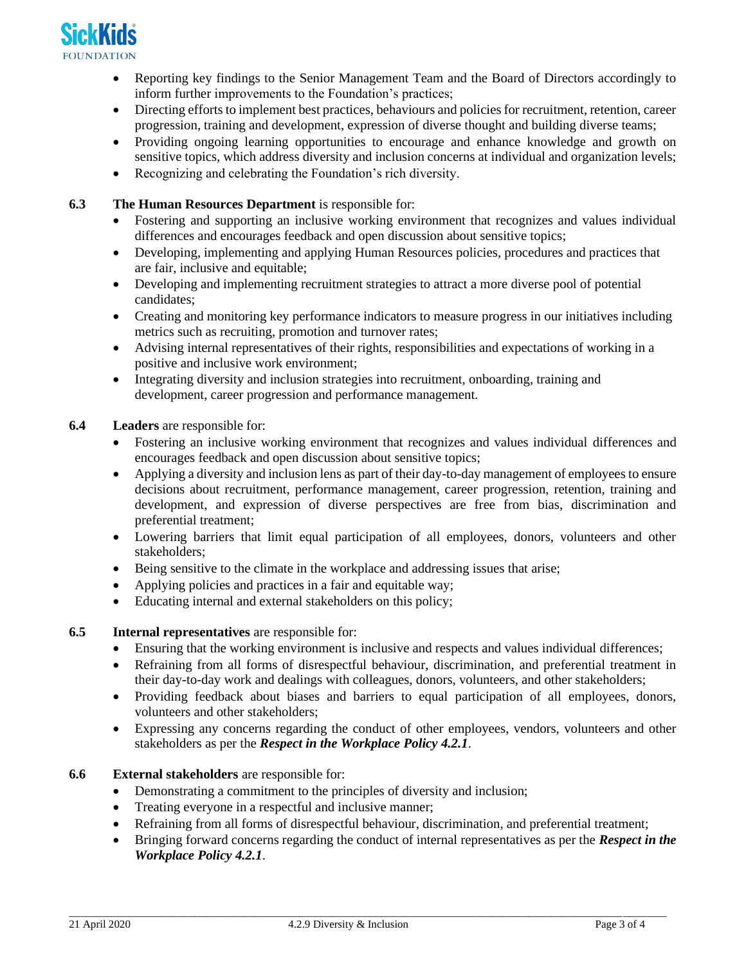

- Reporting key findings to the Senior Management Team and the Board of Directors accordingly to inform further improvements to the Foundation's practices;
- Directing efforts to implement best practices, behaviours and policies for recruitment, retention, career progression, training and development, expression of diverse thought and building diverse teams;
- Providing ongoing learning opportunities to encourage and enhance knowledge and growth on sensitive topics, which address diversity and inclusion concerns at individual and organization levels;
- Recognizing and celebrating the Foundation's rich diversity.
- **6.3 The Human Resources Department** is responsible for:
	- Fostering and supporting an inclusive working environment that recognizes and values individual differences and encourages feedback and open discussion about sensitive topics;
	- Developing, implementing and applying Human Resources policies, procedures and practices that are fair, inclusive and equitable;
	- Developing and implementing recruitment strategies to attract a more diverse pool of potential candidates;
	- Creating and monitoring key performance indicators to measure progress in our initiatives including metrics such as recruiting, promotion and turnover rates;
	- Advising internal representatives of their rights, responsibilities and expectations of working in a positive and inclusive work environment;
	- Integrating diversity and inclusion strategies into recruitment, onboarding, training and development, career progression and performance management.

## **6.4 Leaders** are responsible for:

- Fostering an inclusive working environment that recognizes and values individual differences and encourages feedback and open discussion about sensitive topics;
- Applying a diversity and inclusion lens as part of their day-to-day management of employees to ensure decisions about recruitment, performance management, career progression, retention, training and development, and expression of diverse perspectives are free from bias, discrimination and preferential treatment;
- Lowering barriers that limit equal participation of all employees, donors, volunteers and other stakeholders;
- Being sensitive to the climate in the workplace and addressing issues that arise;
- Applying policies and practices in a fair and equitable way;
- Educating internal and external stakeholders on this policy;
- **6.5 Internal representatives** are responsible for:
	- Ensuring that the working environment is inclusive and respects and values individual differences;
	- Refraining from all forms of disrespectful behaviour, discrimination, and preferential treatment in their day-to-day work and dealings with colleagues, donors, volunteers, and other stakeholders;
	- Providing feedback about biases and barriers to equal participation of all employees, donors, volunteers and other stakeholders;
	- Expressing any concerns regarding the conduct of other employees, vendors, volunteers and other stakeholders as per the *Respect in the Workplace Policy 4.2.1*.
- **6.6 External stakeholders** are responsible for:
	- Demonstrating a commitment to the principles of diversity and inclusion;
	- Treating everyone in a respectful and inclusive manner;
	- Refraining from all forms of disrespectful behaviour, discrimination, and preferential treatment;
	- Bringing forward concerns regarding the conduct of internal representatives as per the *Respect in the Workplace Policy 4.2.1*.